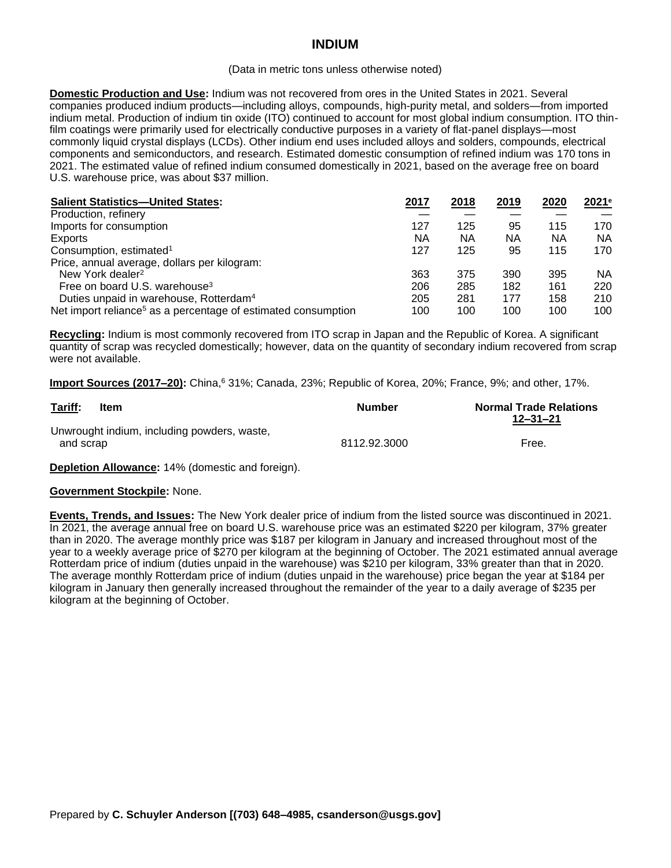# **INDIUM**

#### (Data in metric tons unless otherwise noted)

**Domestic Production and Use:** Indium was not recovered from ores in the United States in 2021. Several companies produced indium products—including alloys, compounds, high-purity metal, and solders—from imported indium metal. Production of indium tin oxide (ITO) continued to account for most global indium consumption. ITO thinfilm coatings were primarily used for electrically conductive purposes in a variety of flat-panel displays—most commonly liquid crystal displays (LCDs). Other indium end uses included alloys and solders, compounds, electrical components and semiconductors, and research. Estimated domestic consumption of refined indium was 170 tons in 2021. The estimated value of refined indium consumed domestically in 2021, based on the average free on board U.S. warehouse price, was about \$37 million.

| <b>Salient Statistics-United States:</b>                                  | 2017 | 2018 | 2019 | 2020 | 2021e |
|---------------------------------------------------------------------------|------|------|------|------|-------|
| Production, refinery                                                      |      |      |      |      |       |
| Imports for consumption                                                   | 127  | 125  | 95   | 115  | 170   |
| Exports                                                                   | ΝA   | ΝA   | ΝA   | ΝA   | NA.   |
| Consumption, estimated <sup>1</sup>                                       | 127  | 125  | 95   | 115  | 170   |
| Price, annual average, dollars per kilogram:                              |      |      |      |      |       |
| New York dealer <sup>2</sup>                                              | 363  | 375  | 390  | 395  | NA.   |
| Free on board U.S. warehouse <sup>3</sup>                                 | 206  | 285  | 182  | 161  | 220   |
| Duties unpaid in warehouse, Rotterdam <sup>4</sup>                        | 205  | 281  | 177  | 158  | 210   |
| Net import reliance <sup>5</sup> as a percentage of estimated consumption | 100  | 100  | 100  | 100  | 100   |

**Recycling:** Indium is most commonly recovered from ITO scrap in Japan and the Republic of Korea. A significant quantity of scrap was recycled domestically; however, data on the quantity of secondary indium recovered from scrap were not available.

**Import Sources (2017–20):** China, <sup>6</sup> 31%; Canada, 23%; Republic of Korea, 20%; France, 9%; and other, 17%.

| Tariff:   | <b>Item</b>                                 | <b>Number</b> | <b>Normal Trade Relations</b><br>$12 - 31 - 21$ |
|-----------|---------------------------------------------|---------------|-------------------------------------------------|
| and scrap | Unwrought indium, including powders, waste, | 8112.92.3000  | Free.                                           |

**Depletion Allowance:** 14% (domestic and foreign).

### **Government Stockpile:** None.

**Events, Trends, and Issues:** The New York dealer price of indium from the listed source was discontinued in 2021. In 2021, the average annual free on board U.S. warehouse price was an estimated \$220 per kilogram, 37% greater than in 2020. The average monthly price was \$187 per kilogram in January and increased throughout most of the year to a weekly average price of \$270 per kilogram at the beginning of October. The 2021 estimated annual average Rotterdam price of indium (duties unpaid in the warehouse) was \$210 per kilogram, 33% greater than that in 2020. The average monthly Rotterdam price of indium (duties unpaid in the warehouse) price began the year at \$184 per kilogram in January then generally increased throughout the remainder of the year to a daily average of \$235 per kilogram at the beginning of October.